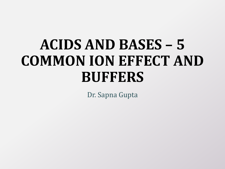# **ACIDS AND BASES – 5 COMMON ION EFFECT AND BUFFERS**

Dr. Sapna Gupta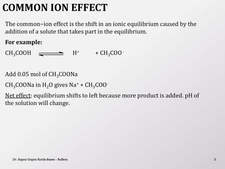## **COMMON ION EFFECT**

The common−ion effect is the shift in an ionic equilibrium caused by the addition of a solute that takes part in the equilibrium.

#### **For example:**

 $CH_3COOH \quad \longrightarrow \quad H^+ \quad + CH_3COO$ 

Add 0.05 mol of  $CH<sub>3</sub>COONa$ 

 $CH<sub>3</sub>COONa$  in  $H<sub>2</sub>O$  gives Na<sup>+</sup> +  $CH<sub>3</sub>COO<sup>-1</sup>$ 

Net effect: equilibrium shifts to left because more product is added. pH of the solution will change.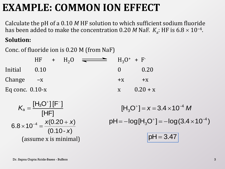### **EXAMPLE: COMMON ION EFFECT**

Calculate the pH of a 0.10 *M* HF solution to which sufficient sodium fluoride has been added to make the concentration 0.20 *M* NaF.  $K_{\rm a}$ : HF is 6.8  $\times$  10<sup>-4</sup>.

#### **Solution:**

Conc. of fluoride ion is 0.20 M (from NaF)

|                   | $HF + H2O$ |  | $\overline{\phantom{a}}$ |              | $H_3O^+ + F^-$ |
|-------------------|------------|--|--------------------------|--------------|----------------|
| Initial 0.10      |            |  |                          | $\mathbf{0}$ | 0.20           |
| Change $-x$       |            |  |                          | $+X$         | $+X$           |
| Eq conc. $0.10-x$ |            |  |                          | X            | $0.20 + x$     |

$$
K_{a} = \frac{[H_{3}O^{+}][F^{-}]}{[HF]}
$$
  
6.8 × 10<sup>-4</sup> =  $\frac{x(0.20 + x)}{(0.10 - x)}$   
(assume x is minimal)

 $[H_3O^+] = x = 3.4 \times 10^{-4} M$ 3  $f = x = 3.4 \times 10^{-7}$ pH =  $-\log [\text{H}_3 \text{O}^+]$  =  $-\log (3.4 \times 10^{-4})$ <br> $\boxed{\text{pH} = 3.47}$ 3  $=-log[H<sub>3</sub>O<sup>+</sup>]=-log(3.4 \times 10^{-1})$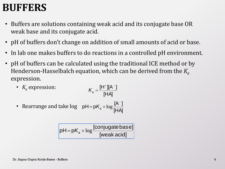### **BUFFERS**

- Buffers are solutions containing weak acid and its conjugate base OR weak base and its conjugate acid.
- pH of buffers don't change on addition of small amounts of acid or base.
- In lab one makes buffers to do reactions in a controlled pH environment.
- pH of buffers can be calculated using the traditional ICE method or by Henderson-Hasselbalch equation, which can be derived from the *K<sup>a</sup>* expression.
	- *K<sup>a</sup>* expression: [HA]  $[H^*][A^-]$ a  $+$  1[  $\Lambda$  - $K<sub>a</sub> =$
	- Rearrange and take log [HA]  $[A^-]$  $pH = pK_a$  $\overline{a}$  $=$   $pK_a$  +  $\log$

$$
\fbox{pH=pK_a + log} \frac{[conjugate base]}{[weak acid]}
$$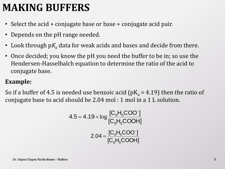### **MAKING BUFFERS**

- Select the acid + conjugate base or base + conjugate acid pair.
- Depends on the pH range needed.
- Look through p $K_a$  data for weak acids and bases and decide from there.
- Once decided; you know the pH you need the buffer to be in; so use the Hendersen-Hasselbalch equation to determine the ratio of the acid to conjugate base.

#### **Example:**

So if a buffer of 4.5 is needed use benzoic acid ( $pK_a = 4.19$ ) then the ratio of conjugate base to acid should be 2.04 mol : 1 mol in a 1 L solution.

$$
4.5 = 4.19 + \log \frac{[C_6H_5COO^{\cdot}]}{[C_6H_5COOH]}
$$

$$
2.04 = \frac{[C_6H_5COO^{\cdot}]}{[C_6H_5COOH]}
$$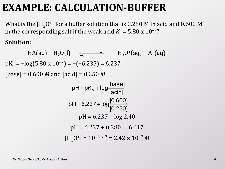### **EXAMPLE: CALCULATION-BUFFER**

What is the [H<sub>3</sub>O<sup>+</sup>] for a buffer solution that is 0.250 M in acid and 0.600 M in the corresponding salt if the weak acid  $K_a = 5.80 \times 10^{-7}$ ?

#### **Solution:**

 $HA(aq) + H_2O(l)$   $\longrightarrow$   $H_3O^+(aq) + A^-(aq)$  $pK_a = -log(5.80 \times 10^{-7}) = -(-6.237) = 6.237$ [base] = 0.600 *M* and [acid] = 0.250 *M*  $pH = 6.237 + log 2.40$  $pH = 6.237 + 0.380 = 6.617$ [acid]  $pH = pK_a + log \frac{[base]}{[basic]}$ [0.250]  $pH = 6.237 + log \frac{[0.600]}{50.0501}$ 

$$
[\mathrm{H}_{3}\mathrm{O}^{+}] = 10^{-6.617} = 2.42 \times 10^{-7} M
$$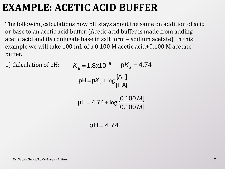### **EXAMPLE: ACETIC ACID BUFFER**

The following calculations how pH stays about the same on addition of acid or base to an acetic acid buffer. (Acetic acid buffer is made from adding acetic acid and its conjugate base in salt form – sodium acetate). In this example we will take 100 mL of a 0.100 M acetic acid+0.100 M acetate buffer.

1) Calculation of pH:

$$
K_{a} = 1.8 \times 10^{-5} \quad pK_{a} = 4.74
$$
  
\n
$$
pH = pK_{a} + \log \frac{[A^{-}]}{[HA]}
$$
  
\n
$$
pH = 4.74 + \log \frac{[0.100 \, M]}{[0.100 \, M]}
$$

$$
pH = 4.74
$$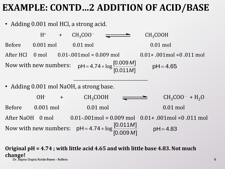### **EXAMPLE: CONTD…2 ADDITION OF ACID/BASE**

• Adding 0.001 mol HCl, a strong acid.

 $H^+$  +  $CH_3COO$   $\longrightarrow$   $CH_3COOH$ Before 0.001 mol 0.01 mol 0.01 mol 0.01 mol After HCl 0 mol 0.01-.001mol = 0.009 mol 0.01+ .001mol =0 .011 mol Now with new numbers: • Adding 0.001 mol NaOH, a strong base. OH- +  $CH_3COOH$   $\longrightarrow$   $CH_3COO \cdot + H_2O$ Before 0.001 mol 0.01 mol 0.01 mol 0.01 mol After NaOH 0 mol 0.01-.001mol = 0.009 mol 0.01+ .001mol =0 .011 mol Now with new numbers:  $[0.011M]$  $[0.009 M]$  $pH = 4.74$ *M M*  $= 4.74 + \log \frac{[0.003 \text{ W}]}{50.844 \text{ A} \cdot \text{s}}$  pH = 4.65  $[0.011M]$  $pH = 4.74$ *M*  $= 4.74 + \log \frac{[0.011M]}{[0.000M]}$  pH = 4.83

**Original pH = 4.74 ; with little acid 4.65 and with little base 4.83. Not much change!** Dr. Sapna Gupta/Acids-Bases - Buffers 8

 $[0.009 M]$ 

*M*